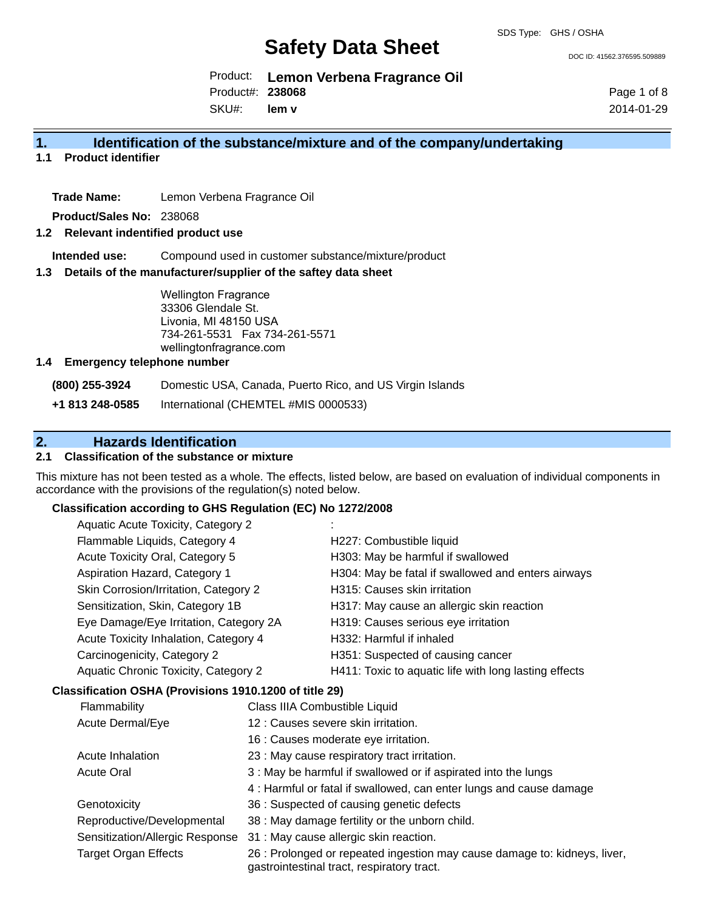DOC ID: 41562.376595.509889

Product: **Lemon Verbena Fragrance Oil** Product#: **238068**

SKU#: **lem v** Page 1 of 8 2014-01-29

## **1. Identification of the substance/mixture and of the company/undertaking**

**1.1 Product identifier**

**Trade Name:** Lemon Verbena Fragrance Oil

**Product/Sales No:** 238068

### **1.2 Relevant indentified product use**

**Intended use:** Compound used in customer substance/mixture/product

### **1.3 Details of the manufacturer/supplier of the saftey data sheet**

Wellington Fragrance 33306 Glendale St. Livonia, MI 48150 USA 734-261-5531 Fax 734-261-5571 wellingtonfragrance.com

### **1.4 Emergency telephone number**

**(800) 255-3924** Domestic USA, Canada, Puerto Rico, and US Virgin Islands

**+1 813 248-0585** International (CHEMTEL #MIS 0000533)

# **2. Hazards Identification**

## **2.1 Classification of the substance or mixture**

This mixture has not been tested as a whole. The effects, listed below, are based on evaluation of individual components in accordance with the provisions of the regulation(s) noted below.

### **Classification according to GHS Regulation (EC) No 1272/2008**

| Aquatic Acute Toxicity, Category 2     |                                                       |
|----------------------------------------|-------------------------------------------------------|
| Flammable Liquids, Category 4          | H227: Combustible liquid                              |
| Acute Toxicity Oral, Category 5        | H303: May be harmful if swallowed                     |
| Aspiration Hazard, Category 1          | H304: May be fatal if swallowed and enters airways    |
| Skin Corrosion/Irritation, Category 2  | H315: Causes skin irritation                          |
| Sensitization, Skin, Category 1B       | H317: May cause an allergic skin reaction             |
| Eye Damage/Eye Irritation, Category 2A | H319: Causes serious eye irritation                   |
| Acute Toxicity Inhalation, Category 4  | H332: Harmful if inhaled                              |
| Carcinogenicity, Category 2            | H351: Suspected of causing cancer                     |
| Aquatic Chronic Toxicity, Category 2   | H411: Toxic to aquatic life with long lasting effects |
|                                        |                                                       |

## **Classification OSHA (Provisions 1910.1200 of title 29)**

| Flammability                    | Class IIIA Combustible Liquid                                                                                           |
|---------------------------------|-------------------------------------------------------------------------------------------------------------------------|
| Acute Dermal/Eye                | 12 : Causes severe skin irritation.                                                                                     |
|                                 | 16 : Causes moderate eye irritation.                                                                                    |
| Acute Inhalation                | 23 : May cause respiratory tract irritation.                                                                            |
| <b>Acute Oral</b>               | 3 : May be harmful if swallowed or if aspirated into the lungs                                                          |
|                                 | 4: Harmful or fatal if swallowed, can enter lungs and cause damage                                                      |
| Genotoxicity                    | 36 : Suspected of causing genetic defects                                                                               |
| Reproductive/Developmental      | 38 : May damage fertility or the unborn child.                                                                          |
| Sensitization/Allergic Response | 31 : May cause allergic skin reaction.                                                                                  |
| <b>Target Organ Effects</b>     | 26 : Prolonged or repeated ingestion may cause damage to: kidneys, liver,<br>gastrointestinal tract, respiratory tract. |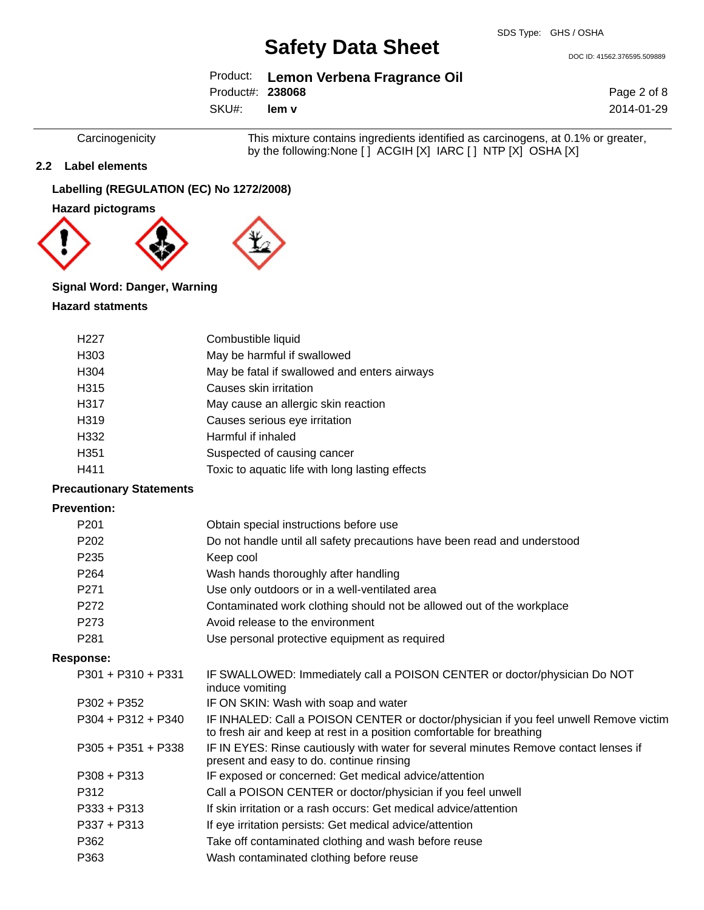DOC ID: 41562.376595.509889

|                  | Product: Lemon Verbena Fragrance Oil |
|------------------|--------------------------------------|
| Product#: 238068 |                                      |
|                  |                                      |

SKU#: **lem v**

Carcinogenicity This mixture contains ingredients identified as carcinogens, at 0.1% or greater, by the following:None [ ] ACGIH [X] IARC [ ] NTP [X] OSHA [X]

### **2.2 Label elements**

## **Labelling (REGULATION (EC) No 1272/2008)**

**Hazard pictograms**



## **Signal Word: Danger, Warning**

## **Hazard statments**

| H <sub>227</sub>  | Combustible liquid                              |
|-------------------|-------------------------------------------------|
| H <sub>303</sub>  | May be harmful if swallowed                     |
| H304              | May be fatal if swallowed and enters airways    |
| H315              | Causes skin irritation                          |
| H317              | May cause an allergic skin reaction             |
| H <sub>3</sub> 19 | Causes serious eye irritation                   |
| H332              | Harmful if inhaled                              |
| H <sub>351</sub>  | Suspected of causing cancer                     |
| H411              | Toxic to aquatic life with long lasting effects |

## **Precautionary Statements**

### **Prevention:**

| Obtain special instructions before use<br>Do not handle until all safety precautions have been read and understood                                             |
|----------------------------------------------------------------------------------------------------------------------------------------------------------------|
|                                                                                                                                                                |
|                                                                                                                                                                |
| Keep cool                                                                                                                                                      |
| Wash hands thoroughly after handling                                                                                                                           |
| Use only outdoors or in a well-ventilated area                                                                                                                 |
| Contaminated work clothing should not be allowed out of the workplace                                                                                          |
| Avoid release to the environment                                                                                                                               |
| Use personal protective equipment as required                                                                                                                  |
|                                                                                                                                                                |
| IF SWALLOWED: Immediately call a POISON CENTER or doctor/physician Do NOT<br>induce vomiting                                                                   |
| IF ON SKIN: Wash with soap and water                                                                                                                           |
| IF INHALED: Call a POISON CENTER or doctor/physician if you feel unwell Remove victim<br>to fresh air and keep at rest in a position comfortable for breathing |
| IF IN EYES: Rinse cautiously with water for several minutes Remove contact lenses if<br>present and easy to do. continue rinsing                               |
| IF exposed or concerned: Get medical advice/attention                                                                                                          |
| Call a POISON CENTER or doctor/physician if you feel unwell                                                                                                    |
| If skin irritation or a rash occurs: Get medical advice/attention                                                                                              |
| If eye irritation persists: Get medical advice/attention                                                                                                       |
| Take off contaminated clothing and wash before reuse                                                                                                           |
| Wash contaminated clothing before reuse                                                                                                                        |
|                                                                                                                                                                |

Page 2 of 8 2014-01-29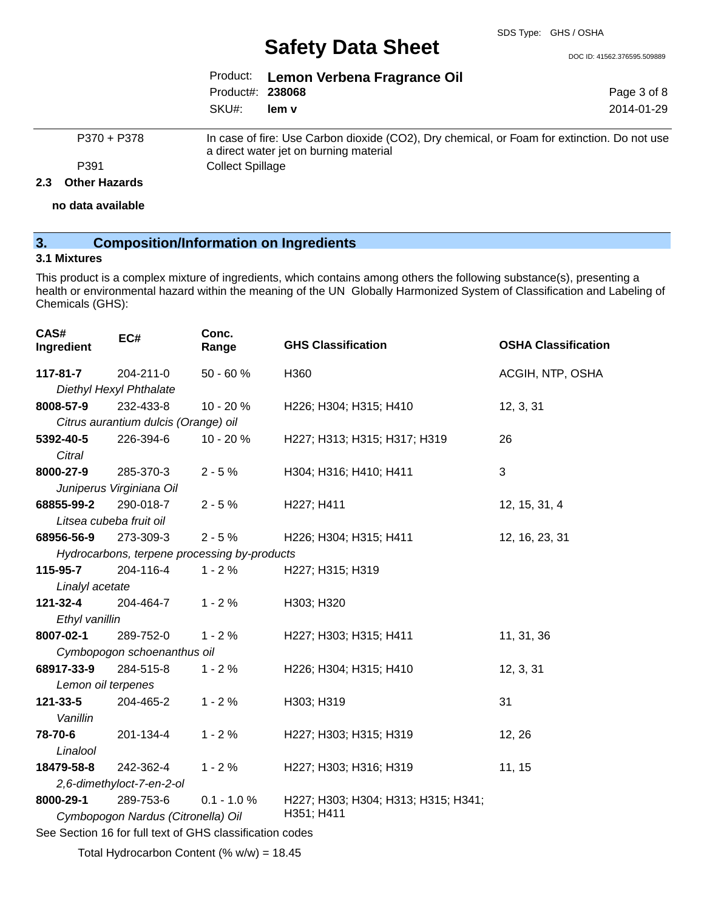DOC ID: 41562.376595.509889

Page 3 of 8 2014-01-29

|                  | Product: Lemon Verbena Fragrance Oil |
|------------------|--------------------------------------|
| Product#: 238068 |                                      |
| SKU#: lem v      |                                      |

P370 + P378 In case of fire: Use Carbon dioxide (CO2), Dry chemical, or Foam for extinction. Do not use a direct water jet on burning material P391 Collect Spillage

#### **2.3 Other Hazards**

**no data available**

## **3. Composition/Information on Ingredients**

## **3.1 Mixtures**

This product is a complex mixture of ingredients, which contains among others the following substance(s), presenting a health or environmental hazard within the meaning of the UN Globally Harmonized System of Classification and Labeling of Chemicals (GHS):

| CAS#<br>Ingredient | EC#                                  | Conc.<br>Range                               | <b>GHS Classification</b>           | <b>OSHA Classification</b> |
|--------------------|--------------------------------------|----------------------------------------------|-------------------------------------|----------------------------|
| 117-81-7           | 204-211-0                            | $50 - 60%$                                   | H360                                | ACGIH, NTP, OSHA           |
|                    | Diethyl Hexyl Phthalate              |                                              |                                     |                            |
| 8008-57-9          | 232-433-8                            | 10 - 20 %                                    | H226; H304; H315; H410              | 12, 3, 31                  |
|                    | Citrus aurantium dulcis (Orange) oil |                                              |                                     |                            |
| 5392-40-5          | 226-394-6                            | 10 - 20 %                                    | H227; H313; H315; H317; H319        | 26                         |
| Citral             |                                      |                                              |                                     |                            |
| 8000-27-9          | 285-370-3                            | $2 - 5%$                                     | H304; H316; H410; H411              | 3                          |
|                    | Juniperus Virginiana Oil             |                                              |                                     |                            |
| 68855-99-2         | 290-018-7                            | $2 - 5%$                                     | H227; H411                          | 12, 15, 31, 4              |
|                    | Litsea cubeba fruit oil              |                                              |                                     |                            |
| 68956-56-9         | 273-309-3                            | $2 - 5%$                                     | H226; H304; H315; H411              | 12, 16, 23, 31             |
|                    |                                      | Hydrocarbons, terpene processing by-products |                                     |                            |
| 115-95-7           | 204-116-4                            | $1 - 2%$                                     | H227; H315; H319                    |                            |
| Linalyl acetate    |                                      |                                              |                                     |                            |
| 121-32-4           | 204-464-7                            | $1 - 2%$                                     | H303; H320                          |                            |
| Ethyl vanillin     |                                      |                                              |                                     |                            |
| 8007-02-1          | 289-752-0                            | $1 - 2%$                                     | H227; H303; H315; H411              | 11, 31, 36                 |
|                    | Cymbopogon schoenanthus oil          |                                              |                                     |                            |
| 68917-33-9         | 284-515-8                            | $1 - 2%$                                     | H226; H304; H315; H410              | 12, 3, 31                  |
| Lemon oil terpenes |                                      |                                              |                                     |                            |
| 121-33-5           | 204-465-2                            | $1 - 2%$                                     | H303; H319                          | 31                         |
| Vanillin           |                                      |                                              |                                     |                            |
| 78-70-6            | 201-134-4                            | $1 - 2%$                                     | H227; H303; H315; H319              | 12, 26                     |
| Linalool           |                                      |                                              |                                     |                            |
| 18479-58-8         | 242-362-4                            | $1 - 2%$                                     | H227; H303; H316; H319              | 11, 15                     |
|                    | 2,6-dimethyloct-7-en-2-ol            |                                              |                                     |                            |
| 8000-29-1          | 289-753-6                            | $0.1 - 1.0 %$                                | H227; H303; H304; H313; H315; H341; |                            |
|                    | Cymbopogon Nardus (Citronella) Oil   |                                              | H351; H411                          |                            |
|                    |                                      |                                              |                                     |                            |

See Section 16 for full text of GHS classification codes

Total Hydrocarbon Content (%  $w/w$ ) = 18.45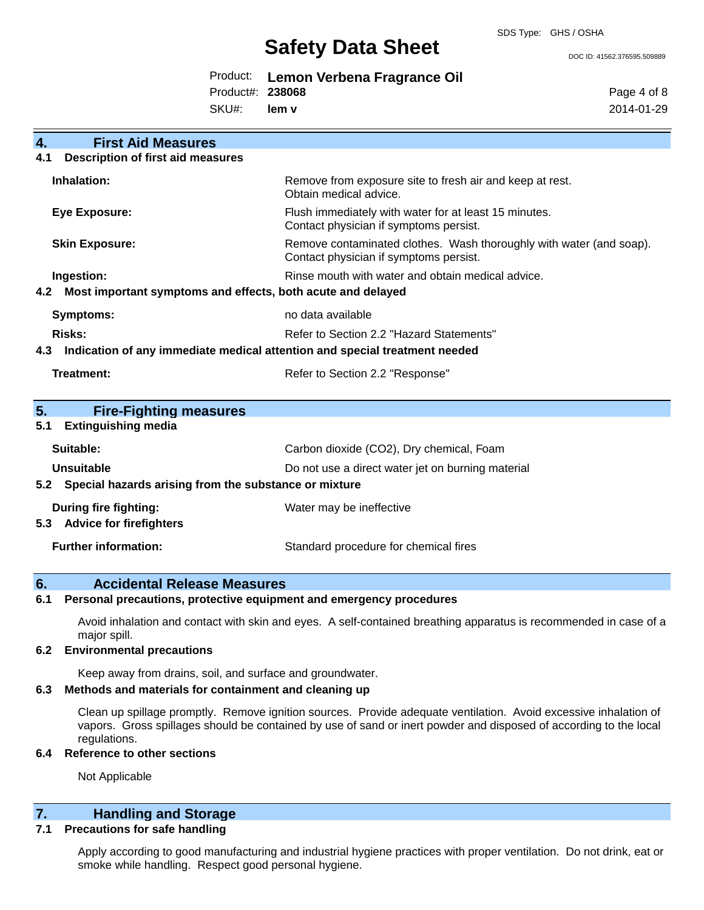DOC ID: 41562.376595.509889

|                  | Product: Lemon Verbena Fragrance Oil |
|------------------|--------------------------------------|
| Product#: 238068 |                                      |
| SKU#: lem v      |                                      |

Page 4 of 8 2014-01-29

| $\overline{4}$ . | <b>First Aid Measures</b>                                                  |                                                                                                               |
|------------------|----------------------------------------------------------------------------|---------------------------------------------------------------------------------------------------------------|
| 4.1              | <b>Description of first aid measures</b>                                   |                                                                                                               |
|                  | Inhalation:                                                                | Remove from exposure site to fresh air and keep at rest.<br>Obtain medical advice.                            |
|                  | <b>Eye Exposure:</b>                                                       | Flush immediately with water for at least 15 minutes.<br>Contact physician if symptoms persist.               |
|                  | <b>Skin Exposure:</b>                                                      | Remove contaminated clothes. Wash thoroughly with water (and soap).<br>Contact physician if symptoms persist. |
|                  | Ingestion:                                                                 | Rinse mouth with water and obtain medical advice.                                                             |
| 4.2              | Most important symptoms and effects, both acute and delayed                |                                                                                                               |
|                  | Symptoms:                                                                  | no data available                                                                                             |
|                  | Risks:                                                                     | Refer to Section 2.2 "Hazard Statements"                                                                      |
|                  |                                                                            |                                                                                                               |
| 4.3              | Indication of any immediate medical attention and special treatment needed |                                                                                                               |
|                  | Treatment:                                                                 | Refer to Section 2.2 "Response"                                                                               |
| 5.               | <b>Fire-Fighting measures</b>                                              |                                                                                                               |
| 5.1              | <b>Extinguishing media</b>                                                 |                                                                                                               |
|                  | Suitable:                                                                  | Carbon dioxide (CO2), Dry chemical, Foam                                                                      |
|                  | Unsuitable                                                                 | Do not use a direct water jet on burning material                                                             |
|                  | Special hazards arising from the substance or mixture                      |                                                                                                               |
| 5.2              | During fire fighting:                                                      | Water may be ineffective                                                                                      |
| 5.3              | <b>Advice for firefighters</b>                                             |                                                                                                               |

## **6. Accidental Release Measures**

### **6.1 Personal precautions, protective equipment and emergency procedures**

Avoid inhalation and contact with skin and eyes. A self-contained breathing apparatus is recommended in case of a major spill.

### **6.2 Environmental precautions**

Keep away from drains, soil, and surface and groundwater.

## **6.3 Methods and materials for containment and cleaning up**

Clean up spillage promptly. Remove ignition sources. Provide adequate ventilation. Avoid excessive inhalation of vapors. Gross spillages should be contained by use of sand or inert powder and disposed of according to the local regulations.

## **6.4 Reference to other sections**

Not Applicable

## **7. Handling and Storage**

## **7.1 Precautions for safe handling**

Apply according to good manufacturing and industrial hygiene practices with proper ventilation. Do not drink, eat or smoke while handling. Respect good personal hygiene.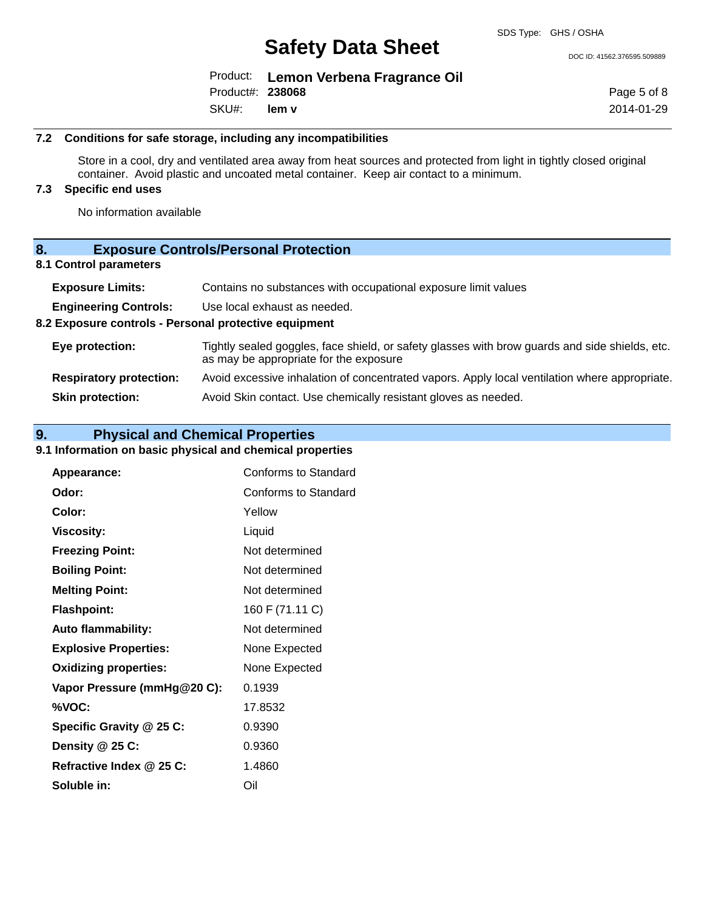DOC ID: 41562.376595.509889

|                  | Product: Lemon Verbena Fragrance Oil |
|------------------|--------------------------------------|
| Product#: 238068 |                                      |
| SKU#: lem v      |                                      |

Page 5 of 8 2014-01-29

### **7.2 Conditions for safe storage, including any incompatibilities**

Store in a cool, dry and ventilated area away from heat sources and protected from light in tightly closed original container. Avoid plastic and uncoated metal container. Keep air contact to a minimum.

## **7.3 Specific end uses**

No information available

| <b>Exposure Controls/Personal Protection</b> | 8. |  |  |  |  |
|----------------------------------------------|----|--|--|--|--|
|----------------------------------------------|----|--|--|--|--|

## **8.1 Control parameters**

| <b>Exposure Limits:</b>                               | Contains no substances with occupational exposure limit values                                                                           |  |
|-------------------------------------------------------|------------------------------------------------------------------------------------------------------------------------------------------|--|
| <b>Engineering Controls:</b>                          | Use local exhaust as needed.                                                                                                             |  |
| 8.2 Exposure controls - Personal protective equipment |                                                                                                                                          |  |
| Eye protection:                                       | Tightly sealed goggles, face shield, or safety glasses with brow guards and side shields, etc.<br>as may be appropriate for the exposure |  |
| <b>Respiratory protection:</b>                        | Avoid excessive inhalation of concentrated vapors. Apply local ventilation where appropriate.                                            |  |
| <b>Skin protection:</b>                               | Avoid Skin contact. Use chemically resistant gloves as needed.                                                                           |  |

## **9. Physical and Chemical Properties**

## **9.1 Information on basic physical and chemical properties**

| Appearance:                  | <b>Conforms to Standard</b> |
|------------------------------|-----------------------------|
| Odor:                        | Conforms to Standard        |
| Color:                       | Yellow                      |
| <b>Viscosity:</b>            | Liquid                      |
| <b>Freezing Point:</b>       | Not determined              |
| <b>Boiling Point:</b>        | Not determined              |
| <b>Melting Point:</b>        | Not determined              |
| <b>Flashpoint:</b>           | 160 F (71.11 C)             |
| <b>Auto flammability:</b>    | Not determined              |
| <b>Explosive Properties:</b> | None Expected               |
| <b>Oxidizing properties:</b> | None Expected               |
| Vapor Pressure (mmHg@20 C):  | 0.1939                      |
| %VOC:                        | 17.8532                     |
| Specific Gravity @ 25 C:     | 0.9390                      |
| Density @ 25 C:              | 0.9360                      |
| Refractive Index @ 25 C:     | 1.4860                      |
| Soluble in:                  | Oil                         |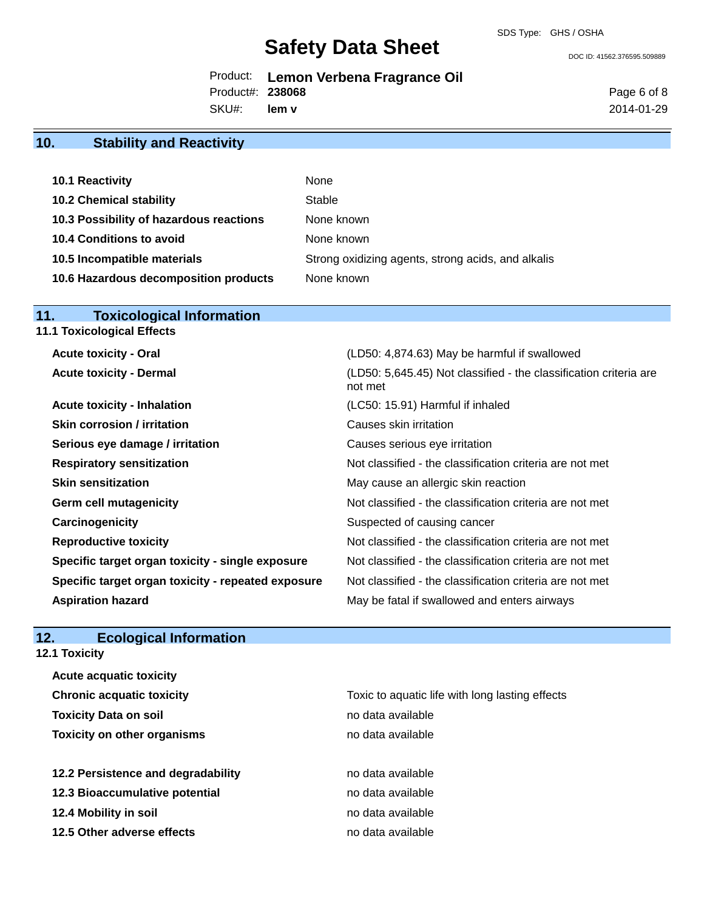not met

DOC ID: 41562.376595.509889

|                  | Product: Lemon Verbena Fragrance Oil |
|------------------|--------------------------------------|
| Product#: 238068 |                                      |

SKU#: **lem v** Page 6 of 8 2014-01-29

## **10. Stability and Reactivity**

| <b>10.1 Reactivity</b>                  | None                                               |
|-----------------------------------------|----------------------------------------------------|
| <b>10.2 Chemical stability</b>          | Stable                                             |
| 10.3 Possibility of hazardous reactions | None known                                         |
| <b>10.4 Conditions to avoid</b>         | None known                                         |
| 10.5 Incompatible materials             | Strong oxidizing agents, strong acids, and alkalis |
| 10.6 Hazardous decomposition products   | None known                                         |

## **11. Toxicological Information**

**11.1 Toxicological Effects**

**Acute toxicity - Oral** (LD50: 4,874.63) May be harmful if swallowed **Acute toxicity - Dermal** (LD50: 5,645.45) Not classified - the classification criteria are

**Acute toxicity - Inhalation** (LC50: 15.91) Harmful if inhaled **Skin corrosion / irritation Causes skin irritation Serious eye damage / irritation** Causes serious eye irritation **Respiratory sensitization** Not classified - the classification criteria are not met **Skin sensitization** May cause an allergic skin reaction **Germ cell mutagenicity**  $\qquad \qquad \qquad$  Not classified - the classification criteria are not met **Carcinogenicity Carcinogenicity** Suspected of causing cancer **Reproductive toxicity** Not classified - the classification criteria are not met **Specific target organ toxicity - single exposure** Not classified - the classification criteria are not met **Specific target organ toxicity - repeated exposure** Not classified - the classification criteria are not met **Aspiration hazard** May be fatal if swallowed and enters airways

# **12. Ecological Information**

**Acute acquatic toxicity**

**12.1 Toxicity**

| <b>Chronic acquatic toxicity</b>   | Toxic to aquatic life with long lasting effects |
|------------------------------------|-------------------------------------------------|
| <b>Toxicity Data on soil</b>       | no data available                               |
| <b>Toxicity on other organisms</b> | no data available                               |
| 12.2 Persistence and degradability | no data available                               |
| 12.3 Bioaccumulative potential     | no data available                               |
| 12.4 Mobility in soil              | no data available                               |
| 12.5 Other adverse effects         | no data available                               |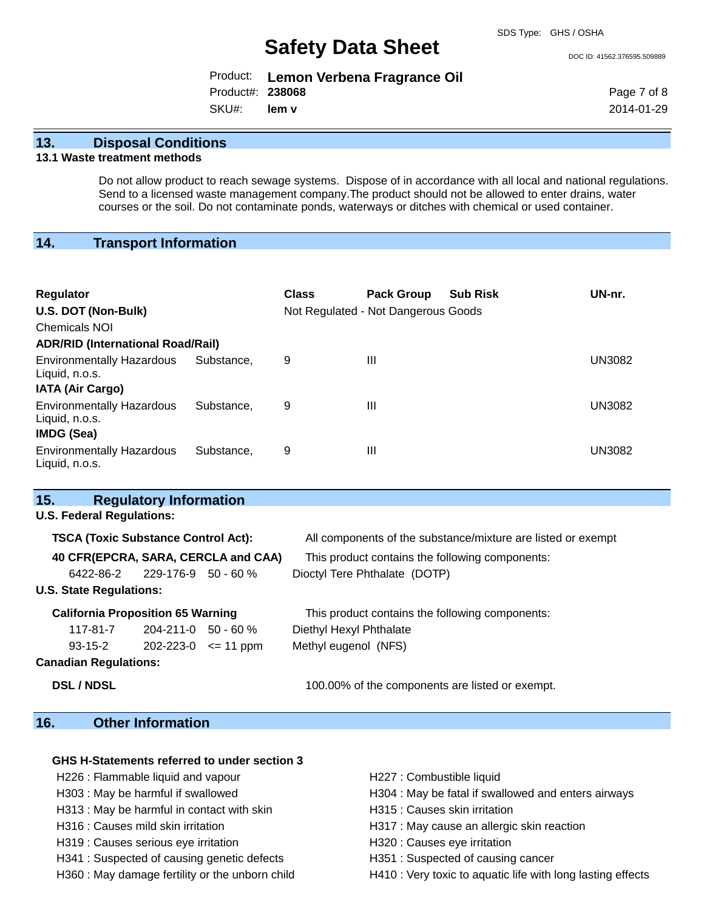DOC ID: 41562.376595.509889

|                  | Product: Lemon Verbena Fragrance Oil |
|------------------|--------------------------------------|
| Product#: 238068 |                                      |
| SKU#: lem v      |                                      |

Page 7 of 8 2014-01-29

## **13. Disposal Conditions**

## **13.1 Waste treatment methods**

Do not allow product to reach sewage systems. Dispose of in accordance with all local and national regulations. Send to a licensed waste management company.The product should not be allowed to enter drains, water courses or the soil. Do not contaminate ponds, waterways or ditches with chemical or used container.

## **14. Transport Information**

| <b>Regulator</b><br>U.S. DOT (Non-Bulk)<br>Chemicals NOI<br><b>ADR/RID (International Road/Rail)</b> |            | <b>Class</b> | <b>Pack Group</b><br>Not Regulated - Not Dangerous Goods | <b>Sub Risk</b> | UN-nr.        |
|------------------------------------------------------------------------------------------------------|------------|--------------|----------------------------------------------------------|-----------------|---------------|
| <b>Environmentally Hazardous</b><br>Liquid, n.o.s.<br><b>IATA (Air Cargo)</b>                        | Substance. | 9            | Ш                                                        |                 | <b>UN3082</b> |
| <b>Environmentally Hazardous</b><br>Liquid, n.o.s.<br><b>IMDG (Sea)</b>                              | Substance. | 9            | Ш                                                        |                 | <b>UN3082</b> |
| <b>Environmentally Hazardous</b><br>Liquid, n.o.s.                                                   | Substance. | 9            | Ш                                                        |                 | UN3082        |

| <b>Regulatory Information</b><br>15.       |                             |                                                              |
|--------------------------------------------|-----------------------------|--------------------------------------------------------------|
| <b>U.S. Federal Regulations:</b>           |                             |                                                              |
| <b>TSCA (Toxic Substance Control Act):</b> |                             | All components of the substance/mixture are listed or exempt |
| 40 CFR(EPCRA, SARA, CERCLA and CAA)        |                             | This product contains the following components:              |
| $6422 - 86 - 2$ 229-176-9 50 - 60 %        |                             | Dioctyl Tere Phthalate (DOTP)                                |
| <b>U.S. State Regulations:</b>             |                             |                                                              |
| <b>California Proposition 65 Warning</b>   |                             | This product contains the following components:              |
| $117-81-7$ 204-211-0 50 - 60 %             |                             | Diethyl Hexyl Phthalate                                      |
| 93-15-2                                    | $202 - 223 - 0 \leq 11$ ppm | Methyl eugenol (NFS)                                         |
| <b>Canadian Regulations:</b>               |                             |                                                              |
| <b>DSL / NDSL</b>                          |                             | 100.00% of the components are listed or exempt.              |
|                                            |                             |                                                              |

# **16. Other Information**

## **GHS H-Statements referred to under section 3**

- H226 : Flammable liquid and vapour **H227** : Combustible liquid
- 
- H313 : May be harmful in contact with skin H315 : Causes skin irritation
- 
- H319 : Causes serious eye irritation **H320** : Causes eye irritation
- H341 : Suspected of causing genetic defects H351 : Suspected of causing cancer
- 
- 
- H303 : May be harmful if swallowed **H304** : May be fatal if swallowed and enters airways
	-
- H316 : Causes mild skin irritation **H317** : May cause an allergic skin reaction
	-
	-
- H360 : May damage fertility or the unborn child H410 : Very toxic to aquatic life with long lasting effects